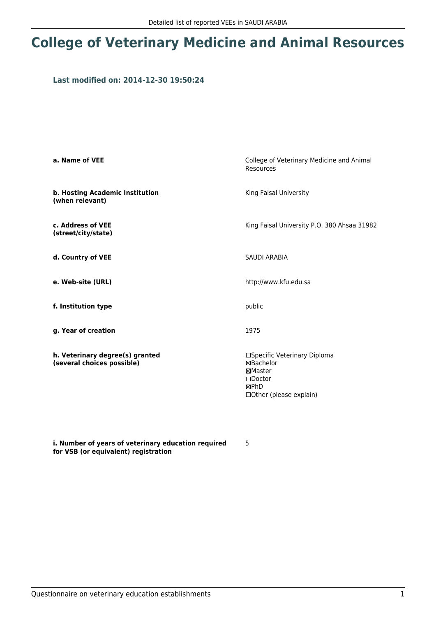## **College of Veterinary Medicine and Animal Resources**

## **Last modified on: 2014-12-30 19:50:24**

| a. Name of VEE                                                | College of Veterinary Medicine and Animal<br>Resources                                                              |  |
|---------------------------------------------------------------|---------------------------------------------------------------------------------------------------------------------|--|
| b. Hosting Academic Institution<br>(when relevant)            | King Faisal University                                                                                              |  |
| c. Address of VEE<br>(street/city/state)                      | King Faisal University P.O. 380 Ahsaa 31982                                                                         |  |
| d. Country of VEE                                             | <b>SAUDI ARABIA</b>                                                                                                 |  |
| e. Web-site (URL)                                             | http://www.kfu.edu.sa                                                                                               |  |
| f. Institution type                                           | public                                                                                                              |  |
| g. Year of creation                                           | 1975                                                                                                                |  |
| h. Veterinary degree(s) granted<br>(several choices possible) | □Specific Veterinary Diploma<br>⊠Bachelor<br>⊠Master<br>$\square$ Doctor<br><b>MPhD</b><br>□ Other (please explain) |  |

**i. Number of years of veterinary education required for VSB (or equivalent) registration**

5